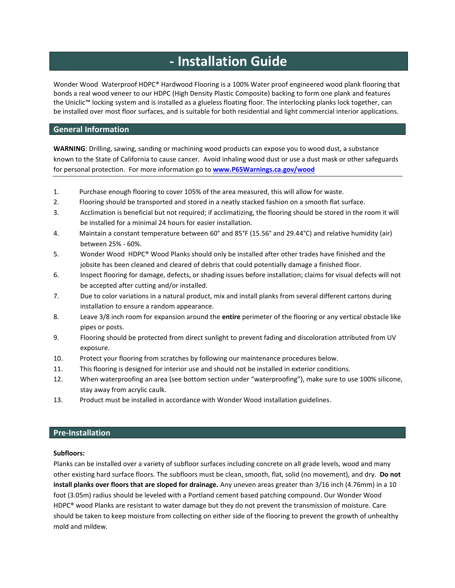# **- Installation Guide**

Wonder Wood Waterproof HDPC® Hardwood Flooring is a 100% Water proof engineered wood plank flooring that bonds a real wood veneer to our HDPC (High Density Plastic Composite) backing to form one plank and features the Uniclic™ locking system and is installed as a glueless floating floor. The interlocking planks lock together, can be installed over most floor surfaces, and is suitable for both residential and light commercial interior applications.

# **General Information**

**WARNING**: Drilling, sawing, sanding or machining wood products can expose you to wood dust, a substance known to the State of California to cause cancer. Avoid inhaling wood dust or use a dust mask or other safeguards for personal protection. For more information go to **[www.P65Warnings.ca.gov/wood](http://www.p65warnings.ca.gov/wood)**

- 1. Purchase enough flooring to cover 105% of the area measured, this will allow for waste.
- 2. Flooring should be transported and stored in a neatly stacked fashion on a smooth flat surface.
- 3. Acclimation is beneficial but not required; if acclimatizing, the flooring should be stored in the room it will be installed for a minimal 24 hours for easier installation.
- 4. Maintain a constant temperature between 60° and 85°F (15.56° and 29.44°C) and relative humidity (air) between 25% - 60%.
- 5. Wonder Wood HDPC® Wood Planks should only be installed after other trades have finished and the jobsite has been cleaned and cleared of debris that could potentially damage a finished floor.
- 6. Inspect flooring for damage, defects, or shading issues before installation; claims for visual defects will not be accepted after cutting and/or installed.
- 7. Due to color variations in a natural product, mix and install planks from several different cartons during installation to ensure a random appearance.
- 8. Leave 3/8 inch room for expansion around the **entire** perimeter of the flooring or any vertical obstacle like pipes or posts.
- 9. Flooring should be protected from direct sunlight to prevent fading and discoloration attributed from UV exposure.
- 10. Protect your flooring from scratches by following our maintenance procedures below.
- 11. This flooring is designed for interior use and should not be installed in exterior conditions.
- 12. When waterproofing an area (see bottom section under "waterproofing"), make sure to use 100% silicone, stay away from acrylic caulk.
- 13. Product must be installed in accordance with Wonder Wood installation guidelines.

# **Pre-Installation**

## **Subfloors:**

Planks can be installed over a variety of subfloor surfaces including concrete on all grade levels, wood and many other existing hard surface floors. The subfloors must be clean, smooth, flat, solid (no movement), and dry. **Do not install planks over floors that are sloped for drainage.** Any uneven areas greater than 3/16 inch (4.76mm) in a 10 foot (3.05m) radius should be leveled with a Portland cement based patching compound. Our Wonder Wood HDPC® wood Planks are resistant to water damage but they do not prevent the transmission of moisture. Care should be taken to keep moisture from collecting on either side of the flooring to prevent the growth of unhealthy mold and mildew.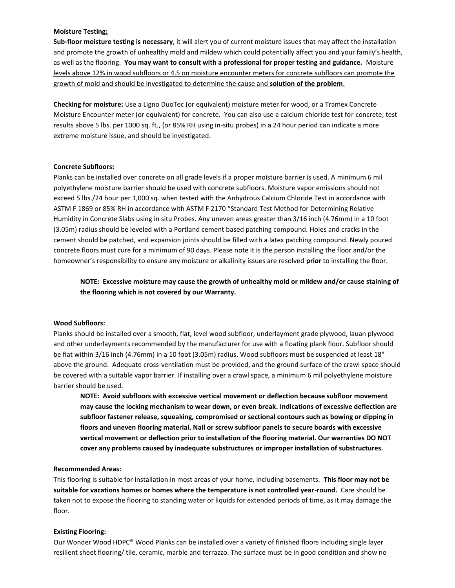## **Moisture Testing:**

**Sub-floor moisture testing is necessary**, it will alert you of current moisture issues that may affect the installation and promote the growth of unhealthy mold and mildew which could potentially affect you and your family's health, as well as the flooring. **You may want to consult with a professional for proper testing and guidance.** Moisture levels above 12% in wood subfloors or 4.5 on moisture encounter meters for concrete subfloors can promote the growth of mold and should be investigated to determine the cause and **solution of the problem**.

**Checking for moisture:** Use a Ligno DuoTec (or equivalent) moisture meter for wood, or a Tramex Concrete Moisture Encounter meter (or equivalent) for concrete. You can also use a calcium chloride test for concrete; test results above 5 lbs. per 1000 sq. ft., (or 85% RH using in-situ probes) in a 24 hour period can indicate a more extreme moisture issue, and should be investigated.

#### **Concrete Subfloors:**

Planks can be installed over concrete on all grade levels if a proper moisture barrier is used. A minimum 6 mil polyethylene moisture barrier should be used with concrete subfloors. Moisture vapor emissions should not exceed 5 lbs./24 hour per 1,000 sq. when tested with the Anhydrous Calcium Chloride Test in accordance with ASTM F 1869 or 85% RH in accordance with ASTM F 2170 "Standard Test Method for Determining Relative Humidity in Concrete Slabs using in situ Probes. Any uneven areas greater than 3/16 inch (4.76mm) in a 10 foot (3.05m) radius should be leveled with a Portland cement based patching compound. Holes and cracks in the cement should be patched, and expansion joints should be filled with a latex patching compound. Newly poured concrete floors must cure for a minimum of 90 days. Please note it is the person installing the floor and/or the homeowner's responsibility to ensure any moisture or alkalinity issues are resolved **prior** to installing the floor.

**NOTE: Excessive moisture may cause the growth of unhealthy mold or mildew and/or cause staining of the flooring which is not covered by our Warranty.**

## **Wood Subfloors:**

Planks should be installed over a smooth, flat, level wood subfloor, underlayment grade plywood, lauan plywood and other underlayments recommended by the manufacturer for use with a floating plank floor. Subfloor should be flat within 3/16 inch (4.76mm) in a 10 foot (3.05m) radius. Wood subfloors must be suspended at least 18" above the ground. Adequate cross-ventilation must be provided, and the ground surface of the crawl space should be covered with a suitable vapor barrier. If installing over a crawl space, a minimum 6 mil polyethylene moisture barrier should be used.

**NOTE: Avoid subfloors with excessive vertical movement or deflection because subfloor movement may cause the locking mechanism to wear down, or even break. Indications of excessive deflection are subfloor fastener release, squeaking, compromised or sectional contours such as bowing or dipping in floors and uneven flooring material. Nail or screw subfloor panels to secure boards with excessive vertical movement or deflection prior to installation of the flooring material. Our warranties DO NOT cover any problems caused by inadequate substructures or improper installation of substructures.**

#### **Recommended Areas:**

This flooring is suitable for installation in most areas of your home, including basements. **This floor may not be suitable for vacations homes or homes where the temperature is not controlled year-round.** Care should be taken not to expose the flooring to standing water or liquids for extended periods of time, as it may damage the floor.

#### **Existing Flooring:**

Our Wonder Wood HDPC® Wood Planks can be installed over a variety of finished floors including single layer resilient sheet flooring/ tile, ceramic, marble and terrazzo. The surface must be in good condition and show no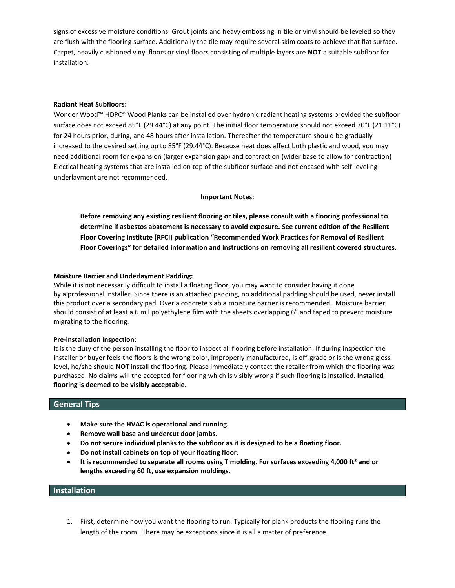signs of excessive moisture conditions. Grout joints and heavy embossing in tile or vinyl should be leveled so they are flush with the flooring surface. Additionally the tile may require several skim coats to achieve that flat surface. Carpet, heavily cushioned vinyl floors or vinyl floors consisting of multiple layers are **NOT** a suitable subfloor for installation.

## **Radiant Heat Subfloors:**

Wonder Wood™ HDPC® Wood Planks can be installed over hydronic radiant heating systems provided the subfloor surface does not exceed 85°F (29.44°C) at any point. The initial floor temperature should not exceed 70°F (21.11°C) for 24 hours prior, during, and 48 hours after installation. Thereafter the temperature should be gradually increased to the desired setting up to 85°F (29.44°C). Because heat does affect both plastic and wood, you may need additional room for expansion (larger expansion gap) and contraction (wider base to allow for contraction) Electical heating systems that are installed on top of the subfloor surface and not encased with self-leveling underlayment are not recommended.

## **Important Notes:**

**Before removing any existing resilient flooring or tiles, please consult with a flooring professional to determine if asbestos abatement is necessary to avoid exposure. See current edition of the Resilient Floor Covering Institute (RFCI) publication "Recommended Work Practices for Removal of Resilient Floor Coverings" for detailed information and instructions on removing all resilient covered structures.**

## **Moisture Barrier and Underlayment Padding:**

While it is not necessarily difficult to install a floating floor, you may want to consider having it done by a professional installer. Since there is an attached padding, no additional padding should be used, never install this product over a secondary pad. Over a concrete slab a moisture barrier is recommended. Moisture barrier should consist of at least a 6 mil polyethylene film with the sheets overlapping 6" and taped to prevent moisture migrating to the flooring.

## **Pre-installation inspection:**

It is the duty of the person installing the floor to inspect all flooring before installation. If during inspection the installer or buyer feels the floors is the wrong color, improperly manufactured, is off-grade or is the wrong gloss level, he/she should **NOT** install the flooring. Please immediately contact the retailer from which the flooring was purchased. No claims will the accepted for flooring which is visibly wrong if such flooring is installed. **Installed flooring is deemed to be visibly acceptable.**

# **General Tips**

- **Make sure the HVAC is operational and running.**
- **Remove wall base and undercut door jambs.**
- **Do not secure individual planks to the subfloor as it is designed to be a floating floor.**
- **Do not install cabinets on top of your floating floor.**
- **It is recommended to separate all rooms using T molding. For surfaces exceeding 4,000 ft² and or lengths exceeding 60 ft, use expansion moldings.**

# **Installation**

1. First, determine how you want the flooring to run. Typically for plank products the flooring runs the length of the room. There may be exceptions since it is all a matter of preference.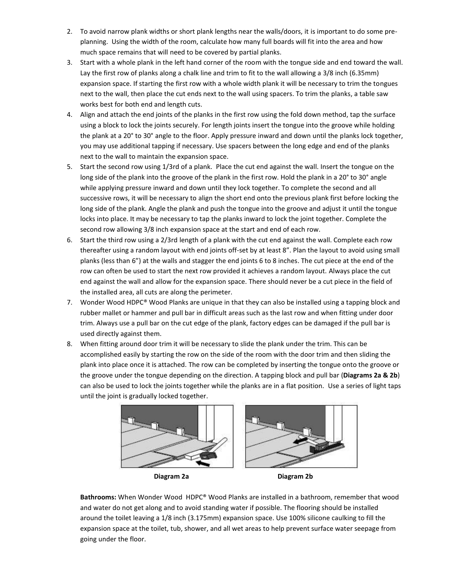- 2. To avoid narrow plank widths or short plank lengths near the walls/doors, it is important to do some preplanning. Using the width of the room, calculate how many full boards will fit into the area and how much space remains that will need to be covered by partial planks.
- 3. Start with a whole plank in the left hand corner of the room with the tongue side and end toward the wall. Lay the first row of planks along a chalk line and trim to fit to the wall allowing a 3/8 inch (6.35mm) expansion space. If starting the first row with a whole width plank it will be necessary to trim the tongues next to the wall, then place the cut ends next to the wall using spacers. To trim the planks, a table saw works best for both end and length cuts.
- 4. Align and attach the end joints of the planks in the first row using the fold down method, tap the surface using a block to lock the joints securely. For length joints insert the tongue into the groove while holding the plank at a 20° to 30° angle to the floor. Apply pressure inward and down until the planks lock together, you may use additional tapping if necessary. Use spacers between the long edge and end of the planks next to the wall to maintain the expansion space.
- 5. Start the second row using 1/3rd of a plank. Place the cut end against the wall. Insert the tongue on the long side of the plank into the groove of the plank in the first row. Hold the plank in a 20° to 30° angle while applying pressure inward and down until they lock together. To complete the second and all successive rows, it will be necessary to align the short end onto the previous plank first before locking the long side of the plank. Angle the plank and push the tongue into the groove and adjust it until the tongue locks into place. It may be necessary to tap the planks inward to lock the joint together. Complete the second row allowing 3/8 inch expansion space at the start and end of each row.
- 6. Start the third row using a 2/3rd length of a plank with the cut end against the wall. Complete each row thereafter using a random layout with end joints off-set by at least 8". Plan the layout to avoid using small planks (less than 6") at the walls and stagger the end joints 6 to 8 inches. The cut piece at the end of the row can often be used to start the next row provided it achieves a random layout. Always place the cut end against the wall and allow for the expansion space. There should never be a cut piece in the field of the installed area, all cuts are along the perimeter.
- 7. Wonder Wood HDPC® Wood Planks are unique in that they can also be installed using a tapping block and rubber mallet or hammer and pull bar in difficult areas such as the last row and when fitting under door trim. Always use a pull bar on the cut edge of the plank, factory edges can be damaged if the pull bar is used directly against them.
- 8. When fitting around door trim it will be necessary to slide the plank under the trim. This can be accomplished easily by starting the row on the side of the room with the door trim and then sliding the plank into place once it is attached. The row can be completed by inserting the tongue onto the groove or the groove under the tongue depending on the direction. A tapping block and pull bar (**Diagrams 2a & 2b**) can also be used to lock the joints together while the planks are in a flat position. Use a series of light taps until the joint is gradually locked together.



**Diagram 2a Diagram 2b** 

**Bathrooms:** When Wonder Wood HDPC® Wood Planks are installed in a bathroom, remember that wood and water do not get along and to avoid standing water if possible. The flooring should be installed around the toilet leaving a 1/8 inch (3.175mm) expansion space. Use 100% silicone caulking to fill the expansion space at the toilet, tub, shower, and all wet areas to help prevent surface water seepage from going under the floor.